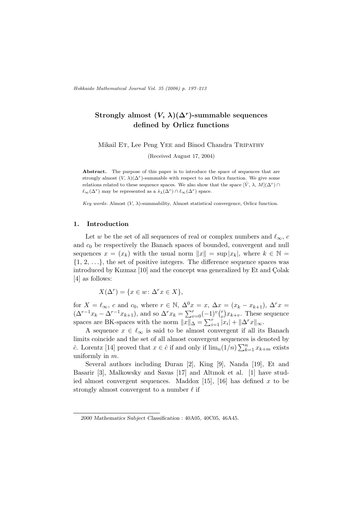## Strongly almost  $(V, \lambda)(\Delta^r)$ -summable sequences defined by Orlicz functions

Mikail Et, Lee Peng YEE and Binod Chandra TRIPATHY

(Received August 17, 2004)

Abstract. The purpose of this paper is to introduce the space of sequences that are strongly almost  $(V, \lambda)(\Delta^r)$ -summable with respect to an Orlicz function. We give some relations related to these sequence spaces. We also show that the space  $[\hat{V}, \lambda, M](\Delta^r) \cap$  $\ell_{\infty}(\Delta^r)$  may be represented as a  $\hat{s}_{\lambda}(\Delta^r) \cap \ell_{\infty}(\Delta^r)$  space.

Key words: Almost  $(V, \lambda)$ -summability, Almost statistical convergence, Orlicz function.

#### 1. Introduction

Let w be the set of all sequences of real or complex numbers and  $\ell_{\infty}$ , c and  $c_0$  be respectively the Banach spaces of bounded, convergent and null sequences  $x = (x_k)$  with the usual norm  $||x|| = \sup |x_k|$ , where  $k \in \mathbb{N}$  $\{1, 2, \ldots\}$ , the set of positive integers. The difference sequence spaces was introduced by Kızmaz [10] and the concept was generalized by Et and Colak [4] as follows:

$$
X(\Delta^r) = \{ x \in w \colon \Delta^r x \in X \},
$$

for  $X = \ell_{\infty}$ , c and c<sub>0</sub>, where  $r \in \mathbb{N}$ ,  $\Delta^0 x = x$ ,  $\Delta x = (x_k - x_{k+1})$ ,  $\Delta^r x =$ for  $X = \ell_{\infty}$ , c and c<sub>0</sub>, where  $\ell \in \mathbb{N}$ ,  $\Delta x = x$ ,  $\Delta x = (x_k - x_{k+1})$ ,  $\Delta x = (\Delta^{r-1}x_k - \Delta^{r-1}x_{k+1})$ , and so  $\Delta^r x_k = \sum_{v=0}^r (-1)^v \binom{r}{v} x_{k+v}$ . These sequence  $\alpha_k = \alpha$   $x_{k+1}$ , and so  $\alpha_k = \alpha_{v=0}$ <br>spaces are BK-spaces with the norm  $||x||_{\Delta} = \sum_{i=1}^r |x_i|$  $\sum_{i=1}^r |x_i| + ||\Delta^r x||_{\infty}.$ 

A sequence  $x \in \ell_{\infty}$  is said to be almost convergent if all its Banach limits coincide and the set of all almost convergent sequences is denoted by conclude and the set of an almost convergent sequences  $\hat{c}$ . Lorentz [14] proved that  $x \in \hat{c}$  if and only if  $\lim_n(1/n)\sum_{k=1}^n$  $_{k=1}^n x_{k+m}$  exists uniformly in m.

Several authors including Duran [2], King [9], Nanda [19], Et and Basarir [3], Malkowsky and Savas [17] and Altınok et al. [1] have studied almost convergent sequences. Maddox [15], [16] has defined x to be strongly almost convergent to a number  $\ell$  if

<sup>2000</sup> Mathematics Subject Classification : 40A05, 40C05, 46A45.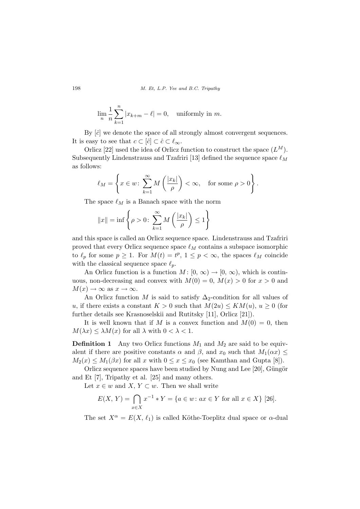$$
\lim_{n} \frac{1}{n} \sum_{k=1}^{n} |x_{k+m} - \ell| = 0, \text{ uniformly in } m.
$$

By  $[\hat{c}]$  we denote the space of all strongly almost convergent sequences. It is easy to see that  $c \subset [\hat{c}] \subset \hat{c} \subset \ell_{\infty}$ .

Orlicz [22] used the idea of Orlicz function to construct the space  $(L^M)$ . Subsequently Lindenstrauss and Tzafriri [13] defined the sequence space  $\ell_M$ as follows:

$$
\ell_M = \left\{ x \in w \colon \sum_{k=1}^{\infty} M\left(\frac{|x_k|}{\rho}\right) < \infty, \quad \text{for some } \rho > 0 \right\}.
$$

The space  $\ell_M$  is a Banach space with the norm

$$
||x|| = \inf \left\{ \rho > 0 \colon \sum_{k=1}^{\infty} M\left(\frac{|x_k|}{\rho}\right) \le 1 \right\}
$$

and this space is called an Orlicz sequence space. Lindenstrauss and Tzafriri proved that every Orlicz sequence space  $\ell_M$  contains a subspace isomorphic to  $\ell_p$  for some  $p \geq 1$ . For  $M(t) = t^p$ ,  $1 \leq p < \infty$ , the spaces  $\ell_M$  coincide with the classical sequence space  $\ell_p$ .

An Orlicz function is a function  $M : [0, \infty) \to [0, \infty)$ , which is continuous, non-decreasing and convex with  $M(0) = 0$ ,  $M(x) > 0$  for  $x > 0$  and  $M(x) \to \infty$  as  $x \to \infty$ .

An Orlicz function M is said to satisfy  $\Delta_2$ -condition for all values of u, if there exists a constant  $K > 0$  such that  $M(2u) \leq KM(u), u \geq 0$  (for further details see Krasnoselskii and Rutitsky [11], Orlicz [21]).

It is well known that if M is a convex function and  $M(0) = 0$ , then  $M(\lambda x) \leq \lambda M(x)$  for all  $\lambda$  with  $0 < \lambda < 1$ .

**Definition 1** Any two Orlicz functions  $M_1$  and  $M_2$  are said to be equivalent if there are positive constants  $\alpha$  and  $\beta$ , and  $x_0$  such that  $M_1(\alpha x) \leq$  $M_2(x) \leq M_1(\beta x)$  for all x with  $0 \leq x \leq x_0$  (see Kamthan and Gupta [8]).

Orlicz sequence spaces have been studied by Nung and Lee [20], Güngör and Et [7], Tripathy et al. [25] and many others.

Let  $x \in w$  and  $X, Y \subset w$ . Then we shall write

$$
E(X, Y) = \bigcap_{x \in X} x^{-1} * Y = \{a \in w : ax \in Y \text{ for all } x \in X\} \text{ [26]}.
$$

The set  $X^{\alpha} = E(X, \ell_1)$  is called Köthe-Toeplitz dual space or  $\alpha$ -dual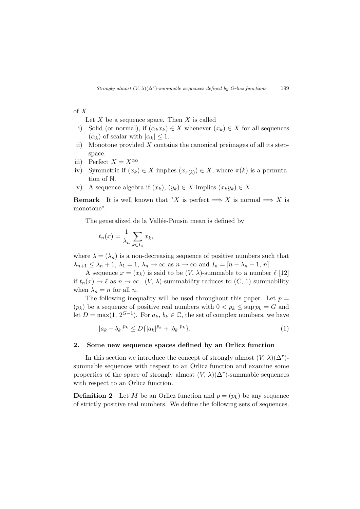### of X.

Let  $X$  be a sequence space. Then  $X$  is called

- i) Solid (or normal), if  $(\alpha_k x_k) \in X$  whenever  $(x_k) \in X$  for all sequences  $(\alpha_k)$  of scalar with  $|\alpha_k| \leq 1$ .
- ii) Monotone provided  $X$  contains the canonical preimages of all its stepspace.
- iii) Perfect  $X = X^{\alpha\alpha}$
- iv) Symmetric if  $(x_k) \in X$  implies  $(x_{\pi(k)}) \in X$ , where  $\pi(k)$  is a permutation of N.
- v) A sequence algebra if  $(x_k)$ ,  $(y_k) \in X$  implies  $(x_k y_k) \in X$ .

**Remark** It is well known that "X is perfect  $\implies$  X is normal  $\implies$  X is monotone".

The generalized de la Vallée-Pousin mean is defined by

$$
t_n(x) = \frac{1}{\lambda_n} \sum_{k \in I_n} x_k,
$$

where  $\lambda = (\lambda_n)$  is a non-decreasing sequence of positive numbers such that  $\lambda_{n+1} \leq \lambda_n + 1$ ,  $\lambda_1 = 1$ ,  $\lambda_n \to \infty$  as  $n \to \infty$  and  $I_n = [n - \lambda_n + 1, n]$ .

A sequence  $x = (x_k)$  is said to be  $(V, \lambda)$ -summable to a number  $\ell$  [12] if  $t_n(x) \to \ell$  as  $n \to \infty$ .  $(V, \lambda)$ -summability reduces to  $(C, 1)$  summability when  $\lambda_n = n$  for all n.

The following inequality will be used throughout this paper. Let  $p =$  $(p_k)$  be a sequence of positive real numbers with  $0 < p_k \le \sup p_k = G$  and let  $D = \max(1, 2^{G-1})$ . For  $a_k, b_k \in \mathbb{C}$ , the set of complex numbers, we have

$$
|a_k + b_k|^{p_k} \le D\{|a_k|^{p_k} + |b_k|^{p_k}\}.
$$
\n(1)

#### 2. Some new sequence spaces defined by an Orlicz function

In this section we introduce the concept of strongly almost  $(V, \lambda)(\Delta^r)$ summable sequences with respect to an Orlicz function and examine some properties of the space of strongly almost  $(V, \lambda)(\Delta^r)$ -summable sequences with respect to an Orlicz function.

**Definition 2** Let M be an Orlicz function and  $p = (p_k)$  be any sequence of strictly positive real numbers. We define the following sets of sequences.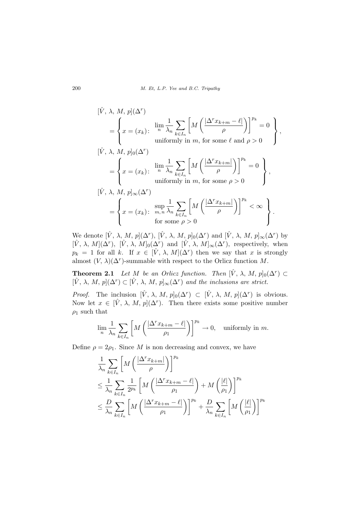$$
[\hat{V}, \lambda, M, p](\Delta^r)
$$
\n
$$
= \left\{ x = (x_k) : \begin{array}{l} \lim_{n} \frac{1}{\lambda_n} \sum_{k \in I_n} \left[ M \left( \frac{|\Delta^r x_{k+m} - \ell|}{\rho} \right) \right]^{p_k} = 0 \\ \text{uniformly in } m, \text{ for some } \ell \text{ and } \rho > 0 \end{array} \right\},\
$$
\n
$$
[\hat{V}, \lambda, M, p]_0(\Delta^r)
$$
\n
$$
= \left\{ x = (x_k) : \begin{array}{l} \lim_{n} \frac{1}{\lambda_n} \sum_{k \in I_n} \left[ M \left( \frac{|\Delta^r x_{k+m}|}{\rho} \right) \right]^{p_k} = 0 \\ \text{uniformly in } m, \text{ for some } \rho > 0 \end{array} \right\},\
$$
\n
$$
[\hat{V}, \lambda, M, p]_{\infty}(\Delta^r)
$$
\n
$$
= \left\{ x = (x_k) : \begin{array}{l} \sup_{m,n} \frac{1}{\lambda_n} \sum_{k \in I_n} \left[ M \left( \frac{|\Delta^r x_{k+m}|}{\rho} \right) \right]^{p_k} < \infty \\ \text{for some } \rho > 0 \end{array} \right\}.
$$

We denote  $[\hat{V}, \lambda, M, p](\Delta^r)$ ,  $[\hat{V}, \lambda, M, p]_0(\Delta^r)$  and  $[\hat{V}, \lambda, M, p]_{\infty}(\Delta^r)$  by  $[\hat{V}, \lambda, M](\Delta^r)$ ,  $[\hat{V}, \lambda, M]_0(\Delta^r)$  and  $[\hat{V}, \lambda, M]_{\infty}(\Delta^r)$ , respectively, when  $p_k = 1$  for all k. If  $x \in [\hat{V}, \lambda, M](\Delta^r)$  then we say that x is strongly almost  $(V, \lambda)(\Delta^r)$ -summable with respect to the Orlicz function M.

**Theorem 2.1** Let M be an Orlicz function. Then  $[\hat{V}, \lambda, M, p]_0(\Delta^r) \subset$  $[\hat{V}, \lambda, M, p](\Delta^r) \subset [\hat{V}, \lambda, M, p]_{\infty}(\Delta^r)$  and the inclusions are strict.

*Proof.* The inclusion  $[\hat{V}, \lambda, M, p]_0(\Delta^r) \subset [\hat{V}, \lambda, M, p](\Delta^r)$  is obvious. Now let  $x \in [\hat{V}, \lambda, M, p](\Delta^r)$ . Then there exists some positive number  $\rho_1$  such that

$$
\lim_{n} \frac{1}{\lambda_n} \sum_{k \in I_n} \left[ M \left( \frac{|\Delta^r x_{k+m} - \ell|}{\rho_1} \right) \right]^{p_k} \to 0, \text{ uniformly in } m.
$$

Define  $\rho = 2\rho_1$ . Since M is non decreasing and convex, we have

$$
\frac{1}{\lambda_n} \sum_{k \in I_n} \left[ M \left( \frac{|\Delta^r x_{k+m}|}{\rho} \right) \right]^{p_k}
$$
\n
$$
\leq \frac{1}{\lambda_n} \sum_{k \in I_n} \frac{1}{2^{p_k}} \left[ M \left( \frac{|\Delta^r x_{k+m} - \ell|}{\rho_1} \right) + M \left( \frac{|\ell|}{\rho_1} \right) \right]^{p_k}
$$
\n
$$
\leq \frac{D}{\lambda_n} \sum_{k \in I_n} \left[ M \left( \frac{|\Delta^r x_{k+m} - \ell|}{\rho_1} \right) \right]^{p_k} + \frac{D}{\lambda_n} \sum_{k \in I_n} \left[ M \left( \frac{|\ell|}{\rho_1} \right) \right]^{p_k}
$$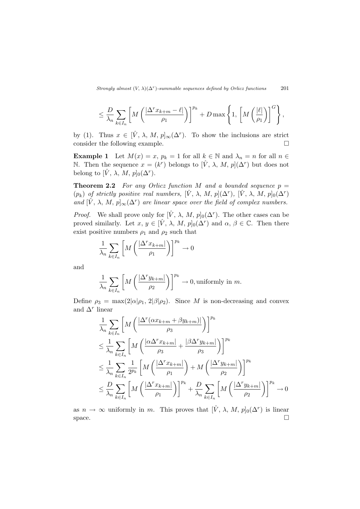$$
\leq \frac{D}{\lambda_n}\sum_{k\in I_n}\left[M\left(\frac{\left|\Delta^r x_{k+m} - \ell\right|}{\rho_1}\right)\right]^{p_k} + D\max\left\{1,\left[M\left(\frac{\left|\ell\right|}{\rho_1}\right)\right]^G\right\},\
$$

by (1). Thus  $x \in [\hat{V}, \lambda, M, p]_{\infty}(\Delta^r)$ . To show the inclusions are strict consider the following example.  $\Box$ 

**Example 1** Let  $M(x) = x$ ,  $p_k = 1$  for all  $k \in \mathbb{N}$  and  $\lambda_n = n$  for all  $n \in \mathbb{N}$ N. Then the sequence  $x = (k^r)$  belongs to  $[\hat{V}, \lambda, M, p](\Delta^r)$  but does not belong to  $[\hat{V}, \lambda, M, p]_0(\Delta^r)$ .

**Theorem 2.2** For any Orlicz function M and a bounded sequence  $p =$  $(p_k)$  of strictly positive real numbers,  $[\hat{V}, \lambda, M, p](\Delta^r)$ ,  $[\hat{V}, \lambda, M, p]_0(\Delta^r)$ and  $[\hat{V}, \lambda, M, p]_{\infty}(\Delta^r)$  are linear space over the field of complex numbers.

*Proof.* We shall prove only for  $[\hat{V}, \lambda, M, p]_0(\Delta^r)$ . The other cases can be proved similarly. Let  $x, y \in [\hat{V}, \lambda, M, p]_0(\Delta^r)$  and  $\alpha, \beta \in \mathbb{C}$ . Then there exist positive numbers  $\rho_1$  and  $\rho_2$  such that

$$
\frac{1}{\lambda_n} \sum_{k \in I_n} \left[ M \left( \frac{|\Delta^r x_{k+m}|}{\rho_1} \right) \right]^{p_k} \to 0
$$

and

$$
\frac{1}{\lambda_n} \sum_{k \in I_n} \left[ M \left( \frac{|\Delta^r y_{k+m}|}{\rho_2} \right) \right]^{p_k} \to 0, \text{uniformly in } m.
$$

Define  $\rho_3 = \max(2|\alpha|\rho_1, 2|\beta|\rho_2)$ . Since M is non-decreasing and convex and  $\Delta^r$  linear

$$
\frac{1}{\lambda_n} \sum_{k \in I_n} \left[ M \left( \frac{|\Delta^r(\alpha x_{k+m} + \beta y_{k+m})|}{\rho_3} \right) \right]^{p_k}
$$
\n
$$
\leq \frac{1}{\lambda_n} \sum_{k \in I_n} \left[ M \left( \frac{|\alpha \Delta^r x_{k+m}|}{\rho_3} + \frac{|\beta \Delta^r y_{k+m}|}{\rho_3} \right) \right]^{p_k}
$$
\n
$$
\leq \frac{1}{\lambda_n} \sum_{k \in I_n} \frac{1}{2^{p_k}} \left[ M \left( \frac{|\Delta^r x_{k+m}|}{\rho_1} \right) + M \left( \frac{|\Delta^r y_{k+m}|}{\rho_2} \right) \right]^{p_k}
$$
\n
$$
\leq \frac{D}{\lambda_n} \sum_{k \in I_n} \left[ M \left( \frac{|\Delta^r x_{k+m}|}{\rho_1} \right) \right]^{p_k} + \frac{D}{\lambda_n} \sum_{k \in I_n} \left[ M \left( \frac{|\Delta^r y_{k+m}|}{\rho_2} \right) \right]^{p_k} \to 0
$$

as  $n \to \infty$  uniformly in m. This proves that  $[\hat{V}, \lambda, M, p]_0(\Delta^r)$  is linear space.  $\Box$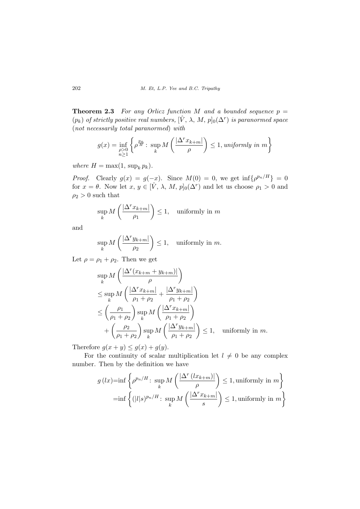**Theorem 2.3** For any Orlicz function M and a bounded sequence  $p =$  $(p_k)$  of strictly positive real numbers,  $[\hat{V}, \lambda, M, p]_0(\Delta^r)$  is paranormed space (not necessarily total paranormed) with

$$
g(x) = \inf_{\substack{\rho > 0 \\ n \ge 1}} \left\{ \rho^{\frac{p_n}{H}} \colon \sup_k M\left(\frac{|\Delta^r x_{k+m}|}{\rho}\right) \le 1, \text{ uniformly in } m \right\}
$$

where  $H = \max(1, \sup_k p_k)$ .

*Proof.* Clearly  $g(x) = g(-x)$ . Since  $M(0) = 0$ , we get  $\inf \{\rho^{p_n/H}\}= 0$ for  $x = \theta$ . Now let  $x, y \in [\hat{V}, \lambda, M, p]_0(\Delta^r)$  and let us choose  $\rho_1 > 0$  and  $\rho_2 > 0$  such that

$$
\sup_{k} M\left(\frac{|\Delta^r x_{k+m}|}{\rho_1}\right) \le 1, \quad \text{uniformly in } m
$$

and

$$
\sup_{k} M\left(\frac{|\Delta^r y_{k+m}|}{\rho_2}\right) \le 1, \quad \text{uniformly in } m.
$$

Let  $\rho = \rho_1 + \rho_2$ . Then we get

$$
\sup_{k} M\left(\frac{|\Delta^r(x_{k+m} + y_{k+m})|}{\rho}\right)
$$
\n
$$
\leq \sup_{k} M\left(\frac{|\Delta^r x_{k+m}|}{\rho_1 + \rho_2} + \frac{|\Delta^r y_{k+m}|}{\rho_1 + \rho_2}\right)
$$
\n
$$
\leq \left(\frac{\rho_1}{\rho_1 + \rho_2}\right) \sup_{k} M\left(\frac{|\Delta^r x_{k+m}|}{\rho_1 + \rho_2}\right)
$$
\n
$$
+ \left(\frac{\rho_2}{\rho_1 + \rho_2}\right) \sup_{k} M\left(\frac{|\Delta^r y_{k+m}|}{\rho_1 + \rho_2}\right) \leq 1, \text{ uniformly in } m.
$$

Therefore  $g(x + y) \le g(x) + g(y)$ .

For the continuity of scalar multiplication let  $l \neq 0$  be any complex number. Then by the definition we have

$$
g(lx)=\inf\left\{\rho^{p_n/H}\colon \sup_k M\left(\frac{|\Delta^r(lx_{k+m})|}{\rho}\right)\le 1, \text{uniformly in } m\right\}
$$

$$
=\inf\left\{(|l|s)^{p_n/H}\colon \sup_k M\left(\frac{|\Delta^r x_{k+m}|}{s}\right)\le 1, \text{uniformly in } m\right\}
$$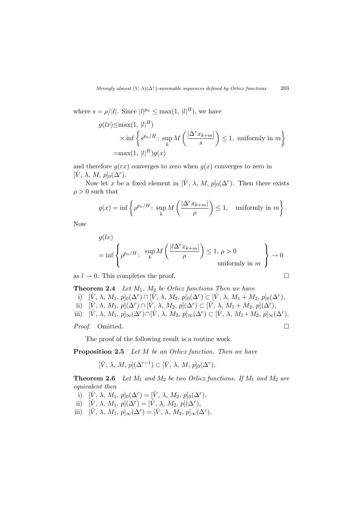where  $s = \rho/|l|$ . Since  $|l|^{p_n} \leq \max(1, |l|^H)$ , we have

$$
g(lx) \le \max(1, |l|^H)
$$
  
 
$$
\times \inf \left\{ s^{p_n/H} \colon \sup_k M\left(\frac{|\Delta^r x_{k+m}|}{s}\right) \le 1, \text{ uniformly in } m \right\}
$$
  
=
$$
\max(1, |l|^H)g(x)
$$

and therefore  $g(rx)$  converges to zero when  $g(x)$  converges to zero in  $[\hat{V}, \lambda, M, p]_0(\Delta^r)$ .

Now let x be a fixed element in  $[\hat{V}, \lambda, M, p]_0(\Delta^r)$ . Then there exists  $\rho > 0$  such that

$$
g(x) = \inf \left\{ \rho^{p_n/H} \colon \sup_k M\left(\frac{|\Delta^r x_{k+m}|}{\rho}\right) \le 1, \text{ uniformly in } m \right\}.
$$

Now

$$
g(lx)
$$
  
= inf  $\left\{\rho^{p_n/H}: \begin{array}{l}\sup_{k} M\left(\frac{|l\Delta^r x_{k+m}|}{\rho}\right) \leq 1, \rho > 0\\ 0 \qquad \text{uniformly in } m\end{array}\right\} \to 0$ 

as  $l \to 0$ . This completes the proof.

**Theorem 2.4** Let  $M_1$ ,  $M_2$  be Orlicz functions Then we have

i)  $[\hat{V}, \lambda, M_1, p]_0(\Delta^r) \cap [\hat{V}, \lambda, M_2, p]_0(\Delta^r) \subset [\hat{V}, \lambda, M_1 + M_2, p]_0(\Delta^r)$ ,

ii)  $[\hat{V}, \lambda, M_1, p](\Delta^r) \cap [\hat{V}, \lambda, M_2, p](\Delta^r) \subset [\hat{V}, \lambda, M_1 + M_2, p](\Delta^r),$ 

iii)  $[\hat{V}, \lambda, M_1, p]_{\infty}(\Delta^r) \cap [\hat{V}, \lambda, M_2, p]_{\infty}(\Delta^r) \subset [\hat{V}, \lambda, M_1 + M_2, p]_{\infty}(\Delta^r)$ .

Proof. Omitted.

The proof of the following result is a routine work.

Proposition 2.5 Let M be an Orlicz function. Then we have

 $[\hat{V}, \lambda, M, p](\Delta^{r-1}) \subset [\hat{V}, \lambda, M, p]_0(\Delta^r).$ 

**Theorem 2.6** Let  $M_1$  and  $M_2$  be two Orlicz functions. If  $M_1$  and  $M_2$  are equivalent then

- i)  $[\hat{V}, \lambda, M_1, p]_0(\Delta^r) = [\hat{V}, \lambda, M_2, p]_0(\Delta^r),$
- ii)  $[\hat{V}, \lambda, M_1, p](\Delta^r) = [\hat{V}, \lambda, M_2, p](\Delta^r),$
- iii)  $[\hat{V}, \lambda, M_1, p]_{\infty}(\Delta^r) = [\hat{V}, \lambda, M_2, p]_{\infty}(\Delta^r)$ .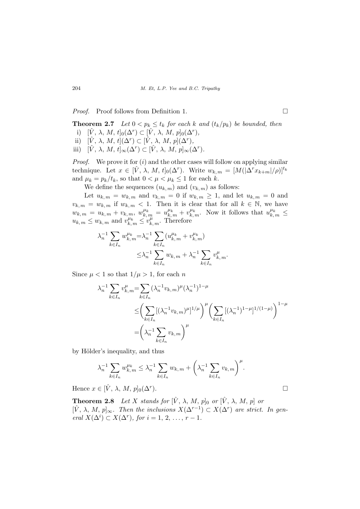*Proof.* Proof follows from Definition 1. □

**Theorem 2.7** Let  $0 < p_k \leq t_k$  for each k and  $(t_k/p_k)$  be bounded, then

- i)  $[\hat{V}, \lambda, M, t]_0(\Delta^r) \subset [\hat{V}, \lambda, M, p]_0(\Delta^r)$ ,
- ii)  $[\hat{V}, \lambda, M, t](\Delta^r) \subset [\hat{V}, \lambda, M, p](\Delta^r)$ ,
- iii)  $[\hat{V}, \lambda, M, t]_{\infty}(\Delta^r) \subset [\hat{V}, \lambda, M, p]_{\infty}(\Delta^r)$ .

*Proof.* We prove it for  $(i)$  and the other cases will follow on applying similar technique. Let  $x \in [\hat{V}, \lambda, M, t]_0(\Delta^r)$ . Write  $w_{k,m} = [M(|\Delta^r x_{k+m}|/\rho)]^{t_k}$ and  $\mu_k = p_k/t_k$ , so that  $0 < \mu < \mu_k \leq 1$  for each k.

We define the sequences  $(u_{k,m})$  and  $(v_{k,m})$  as follows:

Let  $u_{k,m} = w_{k,m}$  and  $v_{k,m} = 0$  if  $w_{k,m} \geq 1$ , and let  $u_{k,m} = 0$  and  $v_{k,m} = w_{k,m}$  if  $w_{k,m} < 1$ . Then it is clear that for all  $k \in \mathbb{N}$ , we have  $w_{k,m} = u_{k,m} + v_{k,m}$ ,  $w_{k,m}^{\mu_k} = u_{k,m}^{\mu_k} + v_{k,m}^{\mu_k}$ . Now it follows that  $u_{k,m}^{\mu_k} \leq$  $u_{k,m} \leq w_{k,m}$  and  $v_{k,m}^{\mu_k} \leq v_{k,m}^{\mu}$ . Therefore

$$
\lambda_n^{-1} \sum_{k \in I_n} w_{k,m}^{\mu_k} = \lambda_n^{-1} \sum_{k \in I_n} (u_{k,m}^{\mu_k} + v_{k,m}^{\mu_k})
$$
  

$$
\leq \lambda_n^{-1} \sum_{k \in I_n} w_{k,m} + \lambda_n^{-1} \sum_{k \in I_n} v_{k,m}^{\mu}.
$$

Since  $\mu < 1$  so that  $1/\mu > 1$ , for each n

$$
\lambda_n^{-1} \sum_{k \in I_n} v_{k,m}^{\mu} = \sum_{k \in I_n} (\lambda_n^{-1} v_{k,m})^{\mu} (\lambda_n^{-1})^{1-\mu}
$$
  

$$
\leq \left( \sum_{k \in I_n} [(\lambda_n^{-1} v_{k,m})^{\mu}]^{1/\mu} \right)^{\mu} \left( \sum_{k \in I_n} [(\lambda_n^{-1})^{1-\mu}]^{1/(1-\mu)} \right)^{1-\mu}
$$
  

$$
= \left( \lambda_n^{-1} \sum_{k \in I_n} v_{k,m} \right)^{\mu}
$$

by Hölder's inequality, and thus

$$
\lambda_n^{-1} \sum_{k \in I_n} w_{k,m}^{\mu_k} \leq \lambda_n^{-1} \sum_{k \in I_n} w_{k,m} + \left(\lambda_n^{-1} \sum_{k \in I_n} v_{k,m}\right)^{\mu}.
$$

Hence  $x \in [\hat{V}, \lambda, M, p]_0(\Delta^r)$ . ).  $\Box$ 

**Theorem 2.8** Let X stands for  $[\hat{V}, \lambda, M, p]_0$  or  $[\hat{V}, \lambda, M, p]$  or  $[\hat{V}, \lambda, M, p]_{\infty}$ . Then the inclusions  $X(\Delta^{r-1}) \subset X(\Delta^r)$  are strict. In general  $X(\Delta^i) \subset X(\Delta^r)$ , for  $i = 1, 2, ..., r - 1$ .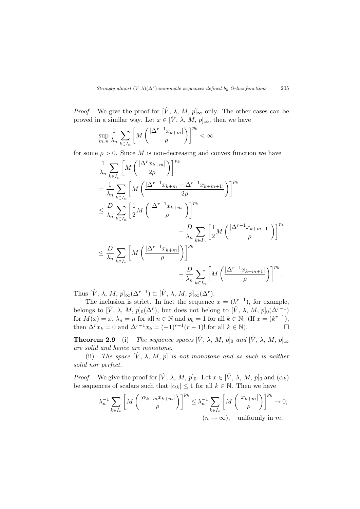*Proof.* We give the proof for  $[\hat{V}, \lambda, M, p]_{\infty}$  only. The other cases can be proved in a similar way. Let  $x \in [\hat{V}, \lambda, M, p]_{\infty}$ , then we have

$$
\sup_{m,n} \frac{1}{\lambda_n} \sum_{k \in I_n} \left[ M \left( \frac{|\Delta^{r-1} x_{k+m}|}{\rho} \right) \right]^{p_k} < \infty
$$

for some  $\rho > 0$ . Since M is non-decreasing and convex function we have

$$
\frac{1}{\lambda_n} \sum_{k \in I_n} \left[ M \left( \frac{|\Delta^r x_{k+m}|}{2\rho} \right) \right]^{p_k}
$$
\n
$$
= \frac{1}{\lambda_n} \sum_{k \in I_n} \left[ M \left( \frac{|\Delta^{r-1} x_{k+m} - \Delta^{r-1} x_{k+m+1}|}{2\rho} \right) \right]^{p_k}
$$
\n
$$
\leq \frac{D}{\lambda_n} \sum_{k \in I_n} \left[ \frac{1}{2} M \left( \frac{|\Delta^{r-1} x_{k+m}|}{\rho} \right) \right]^{p_k}
$$
\n
$$
+ \frac{D}{\lambda_n} \sum_{k \in I_n} \left[ \frac{1}{2} M \left( \frac{|\Delta^{r-1} x_{k+m}|}{\rho} \right) \right]^{p_k}
$$
\n
$$
\leq \frac{D}{\lambda_n} \sum_{k \in I_n} \left[ M \left( \frac{|\Delta^{r-1} x_{k+m}|}{\rho} \right) \right]^{p_k}
$$
\n
$$
+ \frac{D}{\lambda_n} \sum_{k \in I_n} \left[ M \left( \frac{|\Delta^{r-1} x_{k+m+1}|}{\rho} \right) \right]^{p_k}.
$$

Thus  $[\hat{V}, \lambda, M, p]_{\infty}(\Delta^{r-1}) \subset [\hat{V}, \lambda, M, p]_{\infty}(\Delta^r)$ .

The inclusion is strict. In fact the sequence  $x = (k^{r-1})$ , for example, belongs to  $[\hat{V}, \lambda, M, p]_0(\Delta^r)$ , but does not belong to  $[\hat{V}, \lambda, M, p]_0(\Delta^{r-1})$ for  $M(x) = x$ ,  $\lambda_n = n$  for all  $n \in \mathbb{N}$  and  $p_k = 1$  for all  $k \in \mathbb{N}$ . (If  $x = (k^{r-1})$ , then  $\Delta^r x_k = 0$  and  $\Delta^{r-1} x_k = (-1)^{r-1}(r-1)!$  for all  $k \in \mathbb{N}$ ).

**Theorem 2.9** (i) The sequence spaces  $[\hat{V}, \lambda, M, p]_0$  and  $[\hat{V}, \lambda, M, p]_{\infty}$ are solid and hence are monotone.

(ii) The space  $[\hat{V}, \lambda, M, p]$  is not monotone and as such is neither solid nor perfect.

*Proof.* We give the proof for  $[\hat{V}, \lambda, M, p]_0$ . Let  $x \in [\hat{V}, \lambda, M, p]_0$  and  $(\alpha_k)$ be sequences of scalars such that  $|\alpha_k| \leq 1$  for all  $k \in \mathbb{N}$ . Then we have

$$
\lambda_n^{-1} \sum_{k \in I_n} \left[ M \left( \frac{|\alpha_{k+m} x_{k+m}|}{\rho} \right) \right]^{p_k} \leq \lambda_n^{-1} \sum_{k \in I_n} \left[ M \left( \frac{|x_{k+m}|}{\rho} \right) \right]^{p_k} \to 0,
$$
  
 $(n \to \infty)$ , uniformly in m.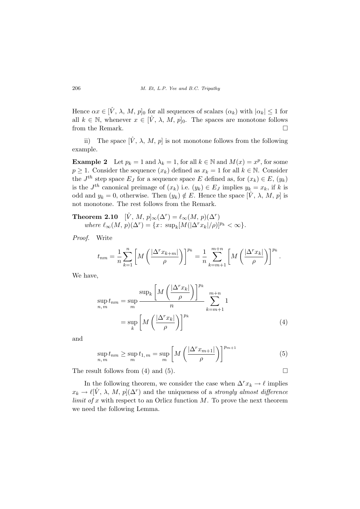Hence  $\alpha x \in [\hat{V}, \lambda, M, p]_0$  for all sequences of scalars  $(\alpha_k)$  with  $|\alpha_k| \leq 1$  for all  $k \in \mathbb{N}$ , whenever  $x \in [\hat{V}, \lambda, M, p]_0$ . The spaces are monotone follows from the Remark.  $\Box$ 

ii) The space  $[\hat{V}, \lambda, M, p]$  is not monotone follows from the following example.

**Example 2** Let  $p_k = 1$  and  $\lambda_k = 1$ , for all  $k \in \mathbb{N}$  and  $M(x) = x^p$ , for some  $p \geq 1$ . Consider the sequence  $(x_k)$  defined as  $x_k = 1$  for all  $k \in \mathbb{N}$ . Consider the  $J^{th}$  step space  $E_J$  for a sequence space E defined as, for  $(x_k) \in E$ ,  $(y_k)$ is the  $J^{th}$  canonical preimage of  $(x_k)$  i.e.  $(y_k) \in E_J$  implies  $y_k = x_k$ , if k is odd and  $y_k = 0$ , otherwise. Then  $(y_k) \notin E$ . Hence the space  $[\hat{V}, \lambda, M, p]$  is not monotone. The rest follows from the Remark.

**Theorem 2.10**  $[\hat{V}, M, p]_{\infty}(\Delta^r) = \ell_{\infty}(M, p)(\Delta^r)$ where  $\ell_{\infty}(M, p)(\Delta^r) = \{x \colon \sup_k [M(|\Delta^r x_k|/\rho)]^{p_k} < \infty \}.$ 

Proof. Write

$$
t_{nm} = \frac{1}{n} \sum_{k=1}^{n} \left[ M \left( \frac{|\Delta^r x_{k+m}|}{\rho} \right) \right]^{p_k} = \frac{1}{n} \sum_{k=m+1}^{m+n} \left[ M \left( \frac{|\Delta^r x_k|}{\rho} \right) \right]^{p_k}.
$$

We have,

$$
\sup_{n,m} t_{nm} = \sup_{m} \frac{\sup_{k} \left[ M \left( \frac{|\Delta^{r} x_{k}|}{\rho} \right) \right]^{p_{k}}}{n} \sum_{k=m+1}^{m+n} 1
$$

$$
= \sup_{k} \left[ M \left( \frac{|\Delta^{r} x_{k}|}{\rho} \right) \right]^{p_{k}}
$$
(4)

and

$$
\sup_{n,m} t_{nm} \ge \sup_m t_{1,m} = \sup_m \left[ M \left( \frac{|\Delta^r x_{m+1}|}{\rho} \right) \right]^{p_{m+1}} \tag{5}
$$

The result follows from (4) and (5).  $\Box$ 

In the following theorem, we consider the case when  $\Delta^r x_k \to \ell$  implies  $x_k \to \ell[\hat{V}, \lambda, M, p](\Delta^r)$  and the uniqueness of a strongly almost difference *limit of x* with respect to an Orlicz function  $M$ . To prove the next theorem we need the following Lemma.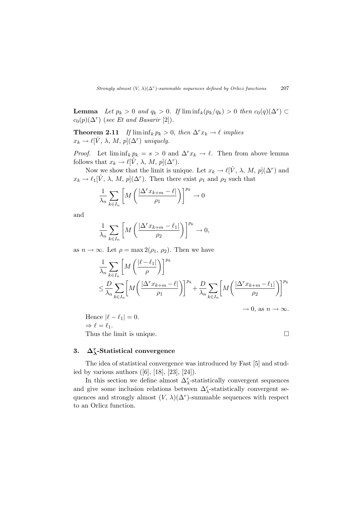**Lemma** Let  $p_k > 0$  and  $q_k > 0$ . If  $\liminf_k (p_k/q_k) > 0$  then  $c_0(q)(\Delta^r) \subset$  $c_0(p)(\Delta^r)$  (see Et and Basarir [2]).

**Theorem 2.11** If  $\liminf_k p_k > 0$ , then  $\Delta^r x_k \to \ell$  implies  $x_k \to \ell[\hat{V}, \lambda, M, p](\Delta^r)$  uniquely.

*Proof.* Let  $\liminf_k p_k = s > 0$  and  $\Delta^r x_k \to \ell$ . Then from above lemma follows that  $x_k \to \ell[\hat{V}, \lambda, M, p](\Delta^r)$ .

Now we show that the limit is unique. Let  $x_k \to \ell[\hat{V}, \lambda, M, p](\Delta^r)$  and  $x_k \to \ell_1[\hat{V}, \lambda, M, p](\Delta^r)$ . Then there exist  $\rho_1$  and  $\rho_2$  such that

$$
\frac{1}{\lambda_n} \sum_{k \in I_n} \left[ M \left( \frac{|\Delta^r x_{k+m} - \ell|}{\rho_1} \right) \right]^{p_k} \to 0
$$

and

$$
\frac{1}{\lambda_n} \sum_{k \in I_n} \left[ M \left( \frac{|\Delta^r x_{k+m} - \ell_1|}{\rho_2} \right) \right]^{p_k} \to 0,
$$

as  $n \to \infty$ . Let  $\rho = \max 2(\rho_1, \rho_2)$ . Then we have

$$
\begin{aligned} & \frac{1}{\lambda_n} \sum_{k \in I_n} \left[ M \left( \frac{|\ell - \ell_1|}{\rho} \right) \right]^{p_k} \\ & \leq \frac{D}{\lambda_n} \sum_{k \in I_n} \left[ M \left( \frac{|\Delta^r x_{k+m} - \ell|}{\rho_1} \right) \right]^{p_k} + \frac{D}{\lambda_n} \sum_{k \in I_n} \left[ M \left( \frac{|\Delta^r x_{k+m} - \ell_1|}{\rho_2} \right) \right]^{p_k} \end{aligned}
$$

 $\to 0$ , as  $n \to \infty$ .

Hence  $|\ell - \ell_1| = 0$ .  $\Rightarrow$   $\ell = \ell_1$ . Thus the limit is unique.  $\Box$ 

# 3.  $\Delta_{\lambda}^{r}$ -Statistical convergence

The idea of statistical convergence was introduced by Fast [5] and studied by various authors  $([6], [18], [23], [24])$ .

In this section we define almost  $\Delta_{\lambda}^r$ -statistically convergent sequences and give some inclusion relations between  $\Delta_{\lambda}^{r}$ -statistically convergent sequences and strongly almost  $(V, \lambda)(\Delta^r)$ -summable sequences with respect to an Orlicz function.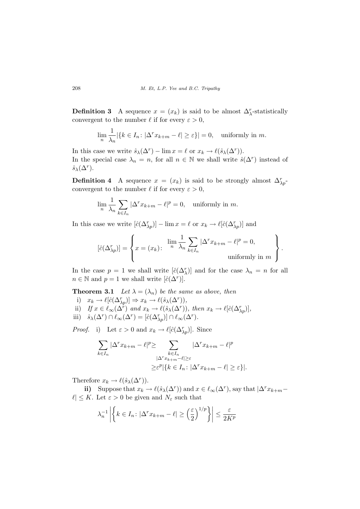**Definition 3** A sequence  $x = (x_k)$  is said to be almost  $\Delta_{\lambda}^r$ -statistically convergent to the number  $\ell$  if for every  $\varepsilon > 0$ ,

$$
\lim_{n} \frac{1}{\lambda_n} |\{k \in I_n : |\Delta^r x_{k+m} - \ell| \ge \varepsilon\}| = 0, \text{ uniformly in } m.
$$

In this case we write  $\hat{s}_{\lambda}(\Delta^r) - \lim x = \ell$  or  $x_k \to \ell(\hat{s}_{\lambda}(\Delta^r)).$ In the special case  $\lambda_n = n$ , for all  $n \in \mathbb{N}$  we shall write  $\hat{s}(\Delta^r)$  instead of  $\hat{s}_{\lambda}(\Delta^r)$ .

**Definition 4** A sequence  $x = (x_k)$  is said to be strongly almost  $\Delta_{\lambda p}^r$ convergent to the number  $\ell$  if for every  $\varepsilon > 0$ ,

$$
\lim_{n} \frac{1}{\lambda_n} \sum_{k \in I_n} |\Delta^r x_{k+m} - \ell|^p = 0, \text{ uniformly in } m.
$$

In this case we write  $[\hat{c}(\Delta_{\lambda p}^r)] - \lim x = \ell$  or  $x_k \to \ell[\hat{c}(\Delta_{\lambda p}^r)]$  and

$$
[\hat{c}(\Delta_{\lambda p}^r)] = \left\{ x = (x_k) \colon \begin{array}{c} \lim_{n} \frac{1}{\lambda_n} \sum_{k \in I_n} |\Delta^r x_{k+m} - \ell|^p = 0, \\ \text{uniformly in } m \end{array} \right\}.
$$

In the case  $p = 1$  we shall write  $[\hat{c}(\Delta_{\lambda}^r)]$  and for the case  $\lambda_n = n$  for all  $n \in \mathbb{N}$  and  $p = 1$  we shall write  $[\hat{c}(\Delta^r)]$ .

**Theorem 3.1** Let  $\lambda = (\lambda_n)$  be the same as above, then

- i)  $x_k \to \ell[\hat{c}(\Delta_{\lambda p}^r)] \Rightarrow x_k \to \ell(\hat{s}_{\lambda}(\Delta^r)),$
- ii) If  $x \in \ell_{\infty}(\Delta^r)$  and  $x_k \to \ell(\hat{s}_{\lambda}(\Delta^r))$ , then  $x_k \to \ell[\hat{c}(\Delta^r_{\lambda p})]$ ,
- iii)  $\hat{s}_{\lambda}(\Delta^r) \cap \ell_{\infty}(\Delta^r) = [\hat{c}(\Delta_{\lambda p}^r)] \cap \ell_{\infty}(\Delta^r)$ .

*Proof.* i) Let  $\varepsilon > 0$  and  $x_k \to \ell[\hat{c}(\Delta_{\lambda p}^r)]$ . Since

$$
\sum_{k \in I_n} |\Delta^r x_{k+m} - \ell|^p \ge \sum_{\substack{k \in I_n \\ |\Delta^r x_{k+m} - \ell| \ge \varepsilon}} |\Delta^r x_{k+m} - \ell|^p
$$

$$
\ge \varepsilon^p |\{k \in I_n : |\Delta^r x_{k+m} - \ell| \ge \varepsilon\}|.
$$

Therefore  $x_k \to \ell(\hat{s}_{\lambda}(\Delta^r))$ .

ii) Suppose that  $x_k \to \ell(\hat{s}_{\lambda}(\Delta^r))$  and  $x \in \ell_{\infty}(\Delta^r)$ , say that  $|\Delta^r x_{k+m} |\ell| \leq K$ . Let  $\varepsilon > 0$  be given and  $N_{\varepsilon}$  such that

$$
\lambda_n^{-1} \left| \left\{ k \in I_n : |\Delta^r x_{k+m} - \ell| \ge \left( \frac{\varepsilon}{2} \right)^{1/p} \right\} \right| \le \frac{\varepsilon}{2K^p}
$$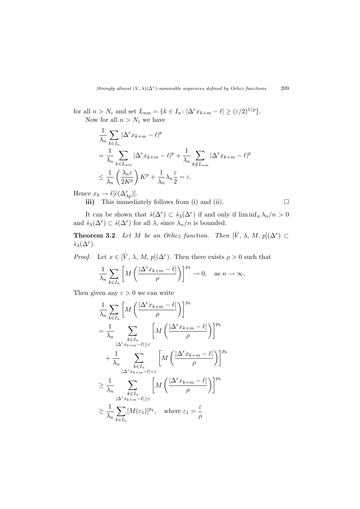for all  $n > N_{\varepsilon}$  and set  $L_{nm} = \{k \in I_n : |\Delta^r x_{k+m} - \ell| \geq (\varepsilon/2)^{1/p}\}.$ Now for all  $n > N_{\varepsilon}$  we have

$$
\frac{1}{\lambda_n} \sum_{k \in I_n} |\Delta^r x_{k+m} - \ell|^p
$$
\n
$$
= \frac{1}{\lambda_n} \sum_{k \in L_{nm}} |\Delta^r x_{k+m} - \ell|^p + \frac{1}{\lambda_n} \sum_{k \notin L_{nm}} |\Delta^r x_{k+m} - \ell|^p
$$
\n
$$
\leq \frac{1}{\lambda_n} \left(\frac{\lambda_n \varepsilon}{2K^p}\right) K^p + \frac{1}{\lambda_n} \lambda_n \frac{\varepsilon}{2} = \varepsilon.
$$

Hence  $x_k \to \ell[\hat{c}(\Delta_{\lambda p}^r)]$ .

iii) This immediately follows from (i) and (ii).

$$
\Box
$$

It can be shown that  $\hat{s}(\Delta^r) \subset \hat{s}_{\lambda}(\Delta^r)$  if and only if  $\liminf_n \lambda_n/n > 0$ and  $\hat{s}_{\lambda}(\Delta^r) \subset \hat{s}(\Delta^r)$  for all  $\lambda$ , since  $\lambda_n/n$  is bounded.

**Theorem 3.2** Let M be an Orlicz function. Then  $[\hat{V}, \lambda, M, p](\Delta^r) \subset$  $\hat{s}_{\lambda}(\Delta^r)$ .

*Proof.* Let  $x \in [\hat{V}, \lambda, M, p](\Delta^r)$ . Then there exists  $\rho > 0$  such that

$$
\frac{1}{\lambda_n} \sum_{k \in I_n} \left[ M \left( \frac{|\Delta^r x_{k+m} - \ell|}{\rho} \right) \right]^{p_k} \to 0, \quad \text{as } n \to \infty.
$$

Then given any  $\varepsilon > 0$  we can write

$$
\frac{1}{\lambda_n} \sum_{k \in I_n} \left[ M \left( \frac{|\Delta^r x_{k+m} - \ell|}{\rho} \right) \right]^{p_k}
$$
\n
$$
= \frac{1}{\lambda_n} \sum_{\substack{k \in I_n \\ |\Delta^r x_{k+m} - \ell| \ge \varepsilon}} \left[ M \left( \frac{|\Delta^r x_{k+m} - \ell|}{\rho} \right) \right]^{p_k}
$$
\n
$$
+ \frac{1}{\lambda_n} \sum_{\substack{k \in I_n \\ |\Delta^r x_{k+m} - \ell| < \varepsilon}} \left[ M \left( \frac{|\Delta^r x_{k+m} - \ell|}{\rho} \right) \right]^{p_k}
$$
\n
$$
\ge \frac{1}{\lambda_n} \sum_{\substack{k \in I_n \\ |\Delta^r x_{k+m} - \ell| \ge \varepsilon}} \left[ M \left( \frac{|\Delta^r x_{k+m} - \ell|}{\rho} \right) \right]^{p_k}
$$
\n
$$
\ge \frac{1}{\lambda_n} \sum_{k \in I_n} [M(\varepsilon_1)]^{p_k}, \quad \text{where } \varepsilon_1 = \frac{\varepsilon}{\rho}
$$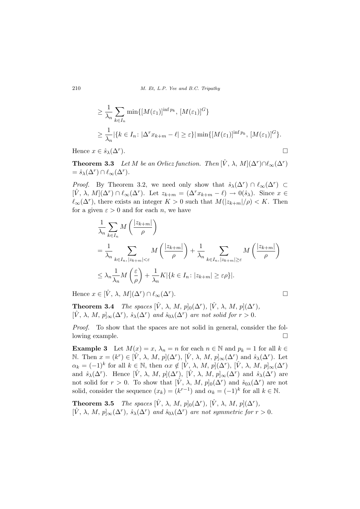210 M. Et, L.P. Yee and B.C. Tripathy

$$
\geq \frac{1}{\lambda_n} \sum_{k \in I_n} \min\{ [M(\varepsilon_1)]^{\inf p_k}, [M(\varepsilon_1)]^G \}
$$
  
\n
$$
\geq \frac{1}{\lambda_n} |\{ k \in I_n : |\Delta^r x_{k+m} - \ell| \geq \varepsilon \} | \min\{ [M(\varepsilon_1)]^{\inf p_k}, [M(\varepsilon_1)]^G \}.
$$
  
\n
$$
x \in \hat{s}_{\lambda}(\Delta^r).
$$

Hence  $x \in \hat{s}_{\lambda}(\Delta^r)$ .

**Theorem 3.3** Let M be an Orlicz function. Then  $[\hat{V}, \lambda, M](\Delta^r) \cap \ell_\infty(\Delta^r)$  $= \hat{s}_{\lambda}(\Delta^r) \cap \ell_{\infty}(\Delta^r).$ 

*Proof.* By Theorem 3.2, we need only show that  $\hat{s}_{\lambda}(\Delta^r) \cap \ell_{\infty}(\Delta^r) \subset$  $[\hat{V}, \lambda, M](\Delta^r) \cap \ell_\infty(\Delta^r)$ . Let  $z_{k+m} = (\Delta^r x_{k+m} - \ell) \to 0(\hat{s}_\lambda)$ . Since  $x \in$  $\ell_{\infty}(\Delta^r)$ , there exists an integer  $K > 0$  such that  $M(|z_{k+m}|/\rho) < K$ . Then for a given  $\varepsilon > 0$  and for each n, we have

$$
\frac{1}{\lambda_n} \sum_{k \in I_n} M\left(\frac{|z_{k+m}|}{\rho}\right)
$$
\n
$$
= \frac{1}{\lambda_n} \sum_{k \in I_n, |z_{k+m}| < \varepsilon} M\left(\frac{|z_{k+m}|}{\rho}\right) + \frac{1}{\lambda_n} \sum_{k \in I_n, |z_{k+m}| \ge \varepsilon} M\left(\frac{|z_{k+m}|}{\rho}\right)
$$
\n
$$
\le \lambda_n \frac{1}{\lambda_n} M\left(\frac{\varepsilon}{\rho}\right) + \frac{1}{\lambda_n} K|\{k \in I_n : |z_{k+m}| \ge \varepsilon \rho\}|.
$$

Hence  $x \in [\hat{V}, \lambda, M](\Delta^r) \cap \ell_{\infty}(\Delta^r)$ 

**Theorem 3.4** The spaces  $[\hat{V}, \lambda, M, p]_0(\Delta^r)$ ,  $[\hat{V}, \lambda, M, p](\Delta^r)$ ,  $[\hat{V}, \lambda, M, p]_{\infty}(\Delta^r), \hat{s}_{\lambda}(\Delta^r)$  and  $\hat{s}_{0\lambda}(\Delta^r)$  are not solid for  $r > 0$ .

Proof. To show that the spaces are not solid in general, consider the following example.  $\Box$ 

**Example 3** Let  $M(x) = x$ ,  $\lambda_n = n$  for each  $n \in \mathbb{N}$  and  $p_k = 1$  for all  $k \in \mathbb{N}$ N. Then  $x = (k^r) \in [\hat{V}, \lambda, M, p](\Delta^r), [\hat{V}, \lambda, M, p]_{\infty}(\Delta^r)$  and  $\hat{s}_{\lambda}(\Delta^r)$ . Let  $\alpha_k = (-1)^k$  for all  $k \in \mathbb{N}$ , then  $\alpha x \notin [\hat{V}, \lambda, M, p](\Delta^r)$ ,  $[\hat{V}, \lambda, M, p]_{\infty}(\Delta^r)$ and  $\hat{s}_{\lambda}(\Delta^r)$ . Hence  $[\hat{V}, \lambda, M, p](\Delta^r)$ ,  $[\hat{V}, \lambda, M, p]_{\infty}(\Delta^r)$  and  $\hat{s}_{\lambda}(\Delta^r)$  are not solid for  $r > 0$ . To show that  $[\hat{V}, \lambda, M, p]_0(\Delta^r)$  and  $\hat{s}_{0\lambda}(\Delta^r)$  are not solid, consider the sequence  $(x_k) = (k^{r-1})$  and  $\alpha_k = (-1)^k$  for all  $k \in \mathbb{N}$ .

**Theorem 3.5** The spaces  $[\hat{V}, \lambda, M, p]_0(\Delta^r)$ ,  $[\hat{V}, \lambda, M, p](\Delta^r)$ ,  $[\hat{V}, \lambda, M, p]_{\infty}(\Delta^r), \hat{s}_{\lambda}(\Delta^r)$  and  $\hat{s}_{0\lambda}(\Delta^r)$  are not symmetric for  $r > 0$ .

).  $\Box$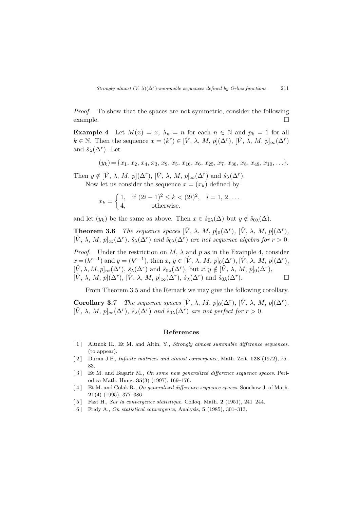Proof. To show that the spaces are not symmetric, consider the following  $\Box$   $\Box$ 

**Example 4** Let  $M(x) = x$ ,  $\lambda_n = n$  for each  $n \in \mathbb{N}$  and  $p_k = 1$  for all  $k \in \mathbb{N}$ . Then the sequence  $x = (k^r) \in [\hat{V}, \lambda, M, p](\Delta^r)$ ,  $[\hat{V}, \lambda, M, p]_{\infty}(\Delta^r)$ and  $\hat{s}_{\lambda}(\Delta^r)$ . Let

$$
(y_k) = \{x_1, x_2, x_4, x_3, x_9, x_5, x_{16}, x_6, x_{25}, x_7, x_{36}, x_8, x_{49}, x_{10}, \ldots\}.
$$

Then  $y \notin [\hat{V}, \lambda, M, p](\Delta^r)$ ,  $[\hat{V}, \lambda, M, p]_{\infty}(\Delta^r)$  and  $\hat{s}_{\lambda}(\Delta^r)$ . Now let us consider the sequence  $x = (x_k)$  defined by

$$
x_k = \begin{cases} 1, & \text{if } (2i-1)^2 \le k < (2i)^2, \quad i = 1, 2, \dots \\ 4, & \text{otherwise.} \end{cases}
$$

and let  $(y_k)$  be the same as above. Then  $x \in \hat{s}_{0\lambda}(\Delta)$  but  $y \notin \hat{s}_{0\lambda}(\Delta)$ .

**Theorem 3.6** The sequence spaces  $[\hat{V}, \lambda, M, p]_0(\Delta^r)$ ,  $[\hat{V}, \lambda, M, p](\Delta^r)$ ,  $[\hat{V}, \lambda, M, p]_{\infty}(\Delta^r), \hat{s}_{\lambda}(\Delta^r)$  and  $\hat{s}_{0\lambda}(\Delta^r)$  are not sequence algebra for  $r > 0$ .

*Proof.* Under the restriction on  $M$ ,  $\lambda$  and  $p$  as in the Example 4, consider  $x = (k^{r-1})$  and  $y = (k^{r-1})$ , then  $x, y \in [\hat{V}, \lambda, M, p]_0(\Delta^r), [\hat{V}, \lambda, M, p](\Delta^r)$ ,  $[\hat{V}, \lambda, M, p]_{\infty}(\Delta^r), \hat{s}_{\lambda}(\Delta^r)$  and  $\hat{s}_{0\lambda}(\Delta^r),$  but  $x, y \notin [\hat{V}, \lambda, M, p]_0(\Delta^r),$  $[\hat{V}, \lambda, M, p](\Delta^r), [\hat{V}, \lambda, M, p]_{\infty}(\Delta^r), \hat{s}_{\lambda}(\Delta^r)$  and  $\hat{s}_{0\lambda}(\Delta^r)$  $\Box$ 

From Theorem 3.5 and the Remark we may give the following corollary.

**Corollary 3.7** The sequence spaces  $[\hat{V}, \lambda, M, p]_0(\Delta^r)$ ,  $[\hat{V}, \lambda, M, p](\Delta^r)$ ,  $[\hat{V}, \lambda, M, p]_{\infty}(\Delta^r), \hat{s}_{\lambda}(\Delta^r)$  and  $\hat{s}_{0\lambda}(\Delta^r)$  are not perfect for  $r > 0$ .

#### References

- [1] Altinok H., Et M. and Altin, Y., Strongly almost summable difference sequences. (to appear).
- [ 2 ] Duran J.P., Infinite matrices and almost convergence, Math. Zeit. 128 (1972), 75– 83.
- [3] Et M. and Başarir M., On some new generalized difference sequence spaces. Periodica Math. Hung. 35(3) (1997), 169–176.
- [4] Et M. and Colak R., On generalized difference sequence spaces. Soochow J. of Math. 21(4) (1995), 377–386.
- [5] Fast H., Sur la convergence statistique. Colloq. Math. 2 (1951), 241–244.
- [6] Fridy A., On statistical convergence, Analysis, **5** (1985), 301-313.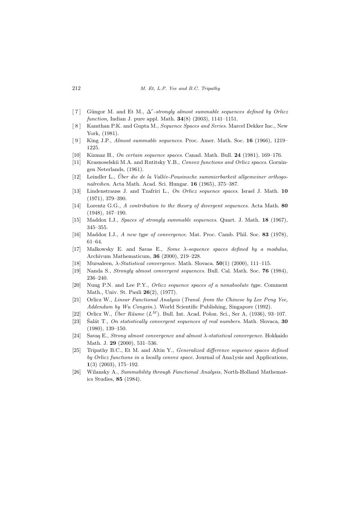- [7] Güngor M. and Et M.,  $\Delta^r$ -strongly almost summable sequences defined by Orlicz function, Indian J. pure appl. Math.  $34(8)$  (2003), 1141–1151.
- [ 8 ] Kamthan P.K. and Gupta M., Sequence Spaces and Series. Marcel Dekker Inc., New York, (1981).
- [ 9 ] King J.P., Almost summable sequences. Proc. Amer. Math. Soc. 16 (1966), 1219– 1225.
- [10] Kizmaz H., On certain sequence spaces. Canad. Math. Bull. 24 (1981), 169–176.
- [11] Krasnoselskii M.A. and Rutitsky Y.B., Convex functions and Orlicz spaces. Gorningen Neterlands, (1961).
- $[12]$  Leindler L., Über die de la Vallée-Pousinsche summierbarkeit allgemeiner orthogonalreihen. Acta Math. Acad. Sci. Hungar. 16 (1965), 375–387.
- [13] Lindenstrauss J. and Tzafriri L., On Orlicz sequence spaces. Israel J. Math. 10 (1971), 379–390.
- [14] Lorentz G.G., A contribution to the theory of divergent sequences. Acta Math. 80 (1948), 167–190.
- [15] Maddox I.J., Spaces of strongly summable sequences. Quart. J. Math. 18 (1967), 345–355.
- [16] Maddox I.J., A new type of convergence. Mat. Proc. Camb. Phil. Soc. 83 (1978), 61–64.
- [17] Malkowsky E. and Savas E., Some λ-sequence spaces defined by a modulus, Archivum Mathematicum, 36 (2000), 219–228.
- [18] Mursaleen, λ-Statistical convergence. Math. Slovaca. 50(1) (2000), 111–115.
- [19] Nanda S., Strongly almost convergent sequences. Bull. Cal. Math. Soc. 76 (1984), 236–240.
- [20] Nung P.N. and Lee P.Y., Orlicz sequence spaces of a nonabsolute type. Comment Math., Univ. St. Pauli 26(2), (1977).
- [21] Orlicz W., Linear Functional Analysis (Transl. from the Chinese by Lee Peng Yee, Addendum by Wu Congxin.). World Scientific Publishing, Singapore (1992).
- [22] Orlicz W., *Über Räume*  $(L^M)$ . Bull. Int. Acad. Polon. Sci., Ser A, (1936), 93–107.
- [23] Salát T., On statistically convergent sequences of real numbers. Math. Slovaca,  $30$ (1980), 139–150.
- [24] Savaş E., Strong almost convergence and almost  $\lambda$ -statistical convergence. Hokkaido Math. J. 29 (2000), 531–536.
- [25] Tripathy B.C., Et M. and Altin Y., Generalized difference sequence spaces defined by Orlicz functions in a locally convex space. Journal of Ana1ysis and Applications, 1(3) (2003), 175–192.
- [26] Wilansky A., Summability through Functional Analysis, North-Holland Mathematics Studies, 85 (1984).